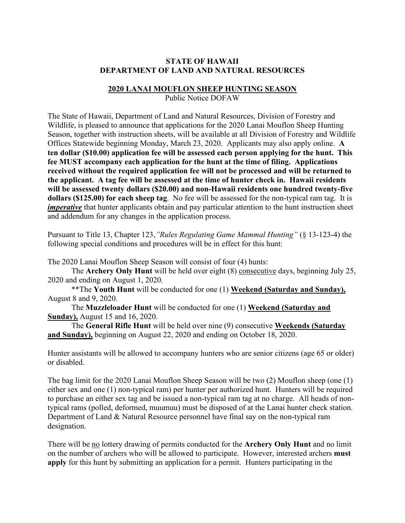## **STATE OF HAWAII DEPARTMENT OF LAND AND NATURAL RESOURCES**

## **2020 LANAI MOUFLON SHEEP HUNTING SEASON**

Public Notice DOFAW

The State of Hawaii, Department of Land and Natural Resources, Division of Forestry and Wildlife, is pleased to announce that applications for the 2020 Lanai Mouflon Sheep Hunting Season, together with instruction sheets, will be available at all Division of Forestry and Wildlife Offices Statewide beginning Monday, March 23, 2020. Applicants may also apply online. **A ten dollar (\$10.00) application fee will be assessed each person applying for the hunt. This fee MUST accompany each application for the hunt at the time of filing. Applications received without the required application fee will not be processed and will be returned to the applicant. A tag fee will be assessed at the time of hunter check in. Hawaii residents will be assessed twenty dollars (\$20.00) and non-Hawaii residents one hundred twenty-five dollars (\$125.00) for each sheep tag**. No fee will be assessed for the non-typical ram tag. It is *imperative* that hunter applicants obtain and pay particular attention to the hunt instruction sheet and addendum for any changes in the application process.

Pursuant to Title 13, Chapter 123,*"Rules Regulating Game Mammal Hunting"* (§ 13-123-4) the following special conditions and procedures will be in effect for this hunt:

The 2020 Lanai Mouflon Sheep Season will consist of four (4) hunts:

The **Archery Only Hunt** will be held over eight (8) consecutive days, beginning July 25, 2020 and ending on August 1, 2020.

\*\*The **Youth Hunt** will be conducted for one (1) **Weekend (Saturday and Sunday),** August 8 and 9, 2020.

The **Muzzleloader Hunt** will be conducted for one (1) **Weekend (Saturday and Sunday),** August 15 and 16, 2020.

The **General Rifle Hunt** will be held over nine (9) consecutive **Weekends (Saturday and Sunday),** beginning on August 22, 2020 and ending on October 18, 2020.

Hunter assistants will be allowed to accompany hunters who are senior citizens (age 65 or older) or disabled.

The bag limit for the 2020 Lanai Mouflon Sheep Season will be two (2) Mouflon sheep (one (1) either sex and one (1) non-typical ram) per hunter per authorized hunt. Hunters will be required to purchase an either sex tag and be issued a non-typical ram tag at no charge. All heads of nontypical rams (polled, deformed, muumuu) must be disposed of at the Lanai hunter check station. Department of Land & Natural Resource personnel have final say on the non-typical ram designation.

There will be no lottery drawing of permits conducted for the **Archery Only Hunt** and no limit on the number of archers who will be allowed to participate. However, interested archers **must apply** for this hunt by submitting an application for a permit. Hunters participating in the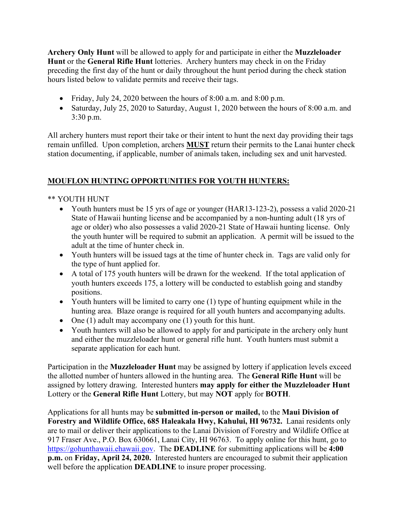**Archery Only Hunt** will be allowed to apply for and participate in either the **Muzzleloader Hunt** or the **General Rifle Hunt** lotteries. Archery hunters may check in on the Friday preceding the first day of the hunt or daily throughout the hunt period during the check station hours listed below to validate permits and receive their tags.

- Friday, July 24, 2020 between the hours of 8:00 a.m. and 8:00 p.m.
- Saturday, July 25, 2020 to Saturday, August 1, 2020 between the hours of 8:00 a.m. and 3:30 p.m.

All archery hunters must report their take or their intent to hunt the next day providing their tags remain unfilled. Upon completion, archers **MUST** return their permits to the Lanai hunter check station documenting, if applicable, number of animals taken, including sex and unit harvested.

## **MOUFLON HUNTING OPPORTUNITIES FOR YOUTH HUNTERS:**

## \*\* YOUTH HUNT

- Youth hunters must be 15 yrs of age or younger (HAR13-123-2), possess a valid 2020-21 State of Hawaii hunting license and be accompanied by a non-hunting adult (18 yrs of age or older) who also possesses a valid 2020-21 State of Hawaii hunting license. Only the youth hunter will be required to submit an application. A permit will be issued to the adult at the time of hunter check in.
- Youth hunters will be issued tags at the time of hunter check in. Tags are valid only for the type of hunt applied for.
- A total of 175 youth hunters will be drawn for the weekend. If the total application of youth hunters exceeds 175, a lottery will be conducted to establish going and standby positions.
- Youth hunters will be limited to carry one (1) type of hunting equipment while in the hunting area. Blaze orange is required for all youth hunters and accompanying adults.
- One (1) adult may accompany one (1) youth for this hunt.
- Youth hunters will also be allowed to apply for and participate in the archery only hunt and either the muzzleloader hunt or general rifle hunt. Youth hunters must submit a separate application for each hunt.

Participation in the **Muzzleloader Hunt** may be assigned by lottery if application levels exceed the allotted number of hunters allowed in the hunting area. The **General Rifle Hunt** will be assigned by lottery drawing. Interested hunters **may apply for either the Muzzleloader Hunt** Lottery or the **General Rifle Hunt** Lottery, but may **NOT** apply for **BOTH**.

Applications for all hunts may be **submitted in-person or mailed,** to the **Maui Division of Forestry and Wildlife Office, 685 Haleakala Hwy, Kahului, HI 96732.** Lanai residents only are to mail or deliver their applications to the Lanai Division of Forestry and Wildlife Office at 917 Fraser Ave., P.O. Box 630661, Lanai City, HI 96763. To apply online for this hunt, go to [https://gohunthawaii.ehawaii.gov.](https://gohunthawaii.ehawaii.gov/) The **DEADLINE** for submitting applications will be **4:00 p.m.** on **Friday, April 24, 2020.** Interested hunters are encouraged to submit their application well before the application **DEADLINE** to insure proper processing.